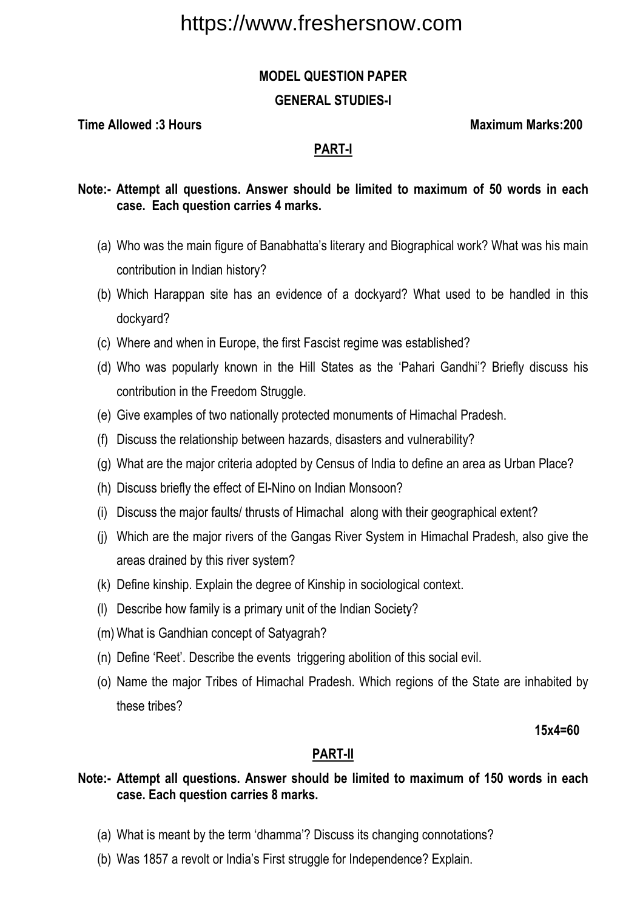### **MODEL QUESTION PAPER**

### **GENERAL STUDIES-I**

**Time Allowed :3 Hours Maximum Marks:200**  Maximum Marks:200

## **PART-I**

## **Note:- Attempt all questions. Answer should be limited to maximum of 50 words in each case. Each question carries 4 marks.**

- (a) Who was the main figure of Banabhatta's literary and Biographical work? What was his main contribution in Indian history?
- (b) Which Harappan site has an evidence of a dockyard? What used to be handled in this dockyard?
- (c) Where and when in Europe, the first Fascist regime was established?
- (d) Who was popularly known in the Hill States as the 'Pahari Gandhi'? Briefly discuss his contribution in the Freedom Struggle.
- (e) Give examples of two nationally protected monuments of Himachal Pradesh.
- (f) Discuss the relationship between hazards, disasters and vulnerability?
- (g) What are the major criteria adopted by Census of India to define an area as Urban Place?
- (h) Discuss briefly the effect of El-Nino on Indian Monsoon?
- (i) Discuss the major faults/ thrusts of Himachal along with their geographical extent?
- (j) Which are the major rivers of the Gangas River System in Himachal Pradesh, also give the areas drained by this river system?
- (k) Define kinship. Explain the degree of Kinship in sociological context.
- (l) Describe how family is a primary unit of the Indian Society?
- (m) What is Gandhian concept of Satyagrah?
- (n) Define 'Reet'. Describe the events triggering abolition of this social evil.
- (o) Name the major Tribes of Himachal Pradesh. Which regions of the State are inhabited by these tribes?

**15x4=60** 

# **PART-II**

### **Note:- Attempt all questions. Answer should be limited to maximum of 150 words in each case. Each question carries 8 marks.**

- (a) What is meant by the term 'dhamma'? Discuss its changing connotations?
- (b) Was 1857 a revolt or India's First struggle for Independence? Explain.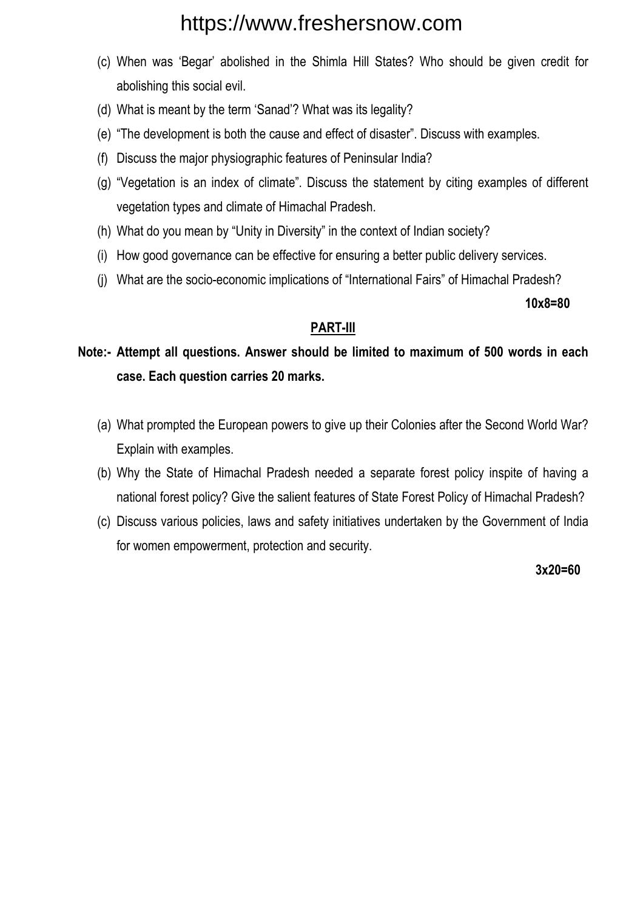- (c) When was 'Begar' abolished in the Shimla Hill States? Who should be given credit for abolishing this social evil.
- (d) What is meant by the term 'Sanad'? What was its legality?
- (e) "The development is both the cause and effect of disaster". Discuss with examples.
- (f) Discuss the major physiographic features of Peninsular India?
- (g) "Vegetation is an index of climate". Discuss the statement by citing examples of different vegetation types and climate of Himachal Pradesh.
- (h) What do you mean by "Unity in Diversity" in the context of Indian society?
- (i) How good governance can be effective for ensuring a better public delivery services.
- (j) What are the socio-economic implications of "International Fairs" of Himachal Pradesh?

**10x8=80** 

# **PART-III**

**Note:- Attempt all questions. Answer should be limited to maximum of 500 words in each case. Each question carries 20 marks.** 

- (a) What prompted the European powers to give up their Colonies after the Second World War? Explain with examples.
- (b) Why the State of Himachal Pradesh needed a separate forest policy inspite of having a national forest policy? Give the salient features of State Forest Policy of Himachal Pradesh?
- (c) Discuss various policies, laws and safety initiatives undertaken by the Government of India for women empowerment, protection and security.

 **3x20=60**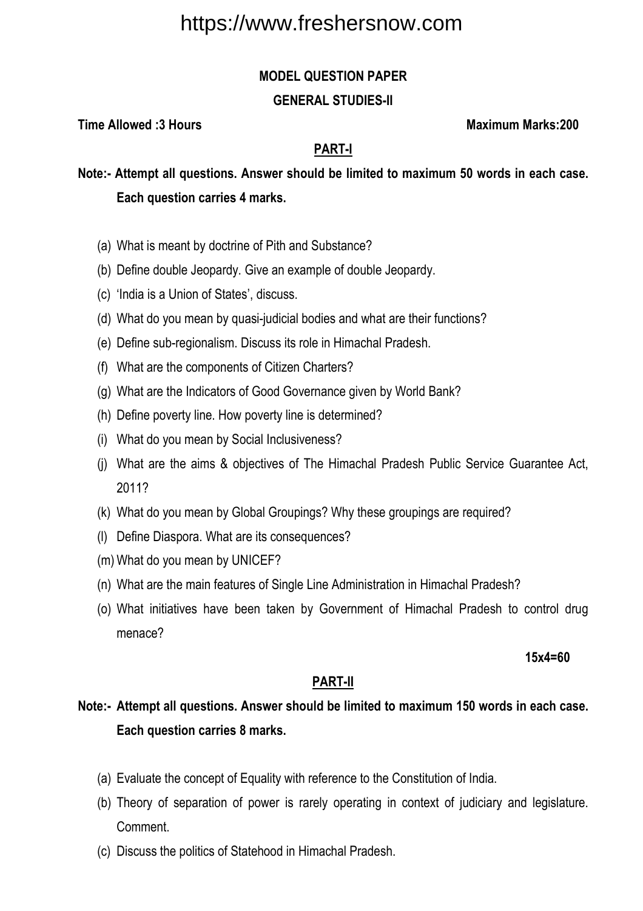## **MODEL QUESTION PAPER**

### **GENERAL STUDIES-II**

**Time Allowed :3 Hours Maximum Marks:200** 

# **PART-I**

**Note:- Attempt all questions. Answer should be limited to maximum 50 words in each case. Each question carries 4 marks.** 

- (a) What is meant by doctrine of Pith and Substance?
- (b) Define double Jeopardy. Give an example of double Jeopardy.
- (c) 'India is a Union of States', discuss.
- (d) What do you mean by quasi-judicial bodies and what are their functions?
- (e) Define sub-regionalism. Discuss its role in Himachal Pradesh.
- (f) What are the components of Citizen Charters?
- (g) What are the Indicators of Good Governance given by World Bank?
- (h) Define poverty line. How poverty line is determined?
- (i) What do you mean by Social Inclusiveness?
- (j) What are the aims & objectives of The Himachal Pradesh Public Service Guarantee Act, 2011?
- (k) What do you mean by Global Groupings? Why these groupings are required?
- (l) Define Diaspora. What are its consequences?
- (m) What do you mean by UNICEF?
- (n) What are the main features of Single Line Administration in Himachal Pradesh?
- (o) What initiatives have been taken by Government of Himachal Pradesh to control drug menace?

 **15x4=60** 

# **PART-II**

# **Note:- Attempt all questions. Answer should be limited to maximum 150 words in each case. Each question carries 8 marks.**

- (a) Evaluate the concept of Equality with reference to the Constitution of India.
- (b) Theory of separation of power is rarely operating in context of judiciary and legislature. **Comment**
- (c) Discuss the politics of Statehood in Himachal Pradesh.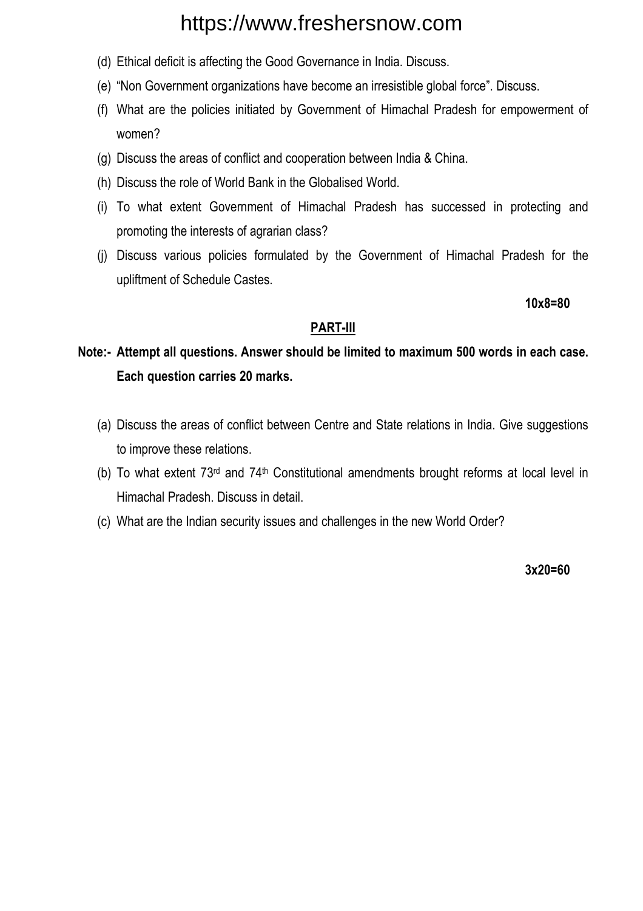- (d) Ethical deficit is affecting the Good Governance in India. Discuss.
- (e) "Non Government organizations have become an irresistible global force". Discuss.
- (f) What are the policies initiated by Government of Himachal Pradesh for empowerment of women?
- (g) Discuss the areas of conflict and cooperation between India & China.
- (h) Discuss the role of World Bank in the Globalised World.
- (i) To what extent Government of Himachal Pradesh has successed in protecting and promoting the interests of agrarian class?
- (j) Discuss various policies formulated by the Government of Himachal Pradesh for the upliftment of Schedule Castes.

**10x8=80** 

# **PART-III**

# **Note:- Attempt all questions. Answer should be limited to maximum 500 words in each case. Each question carries 20 marks.**

- (a) Discuss the areas of conflict between Centre and State relations in India. Give suggestions to improve these relations.
- (b) To what extent 73rd and 74th Constitutional amendments brought reforms at local level in Himachal Pradesh. Discuss in detail.
- (c) What are the Indian security issues and challenges in the new World Order?

**3x20=60**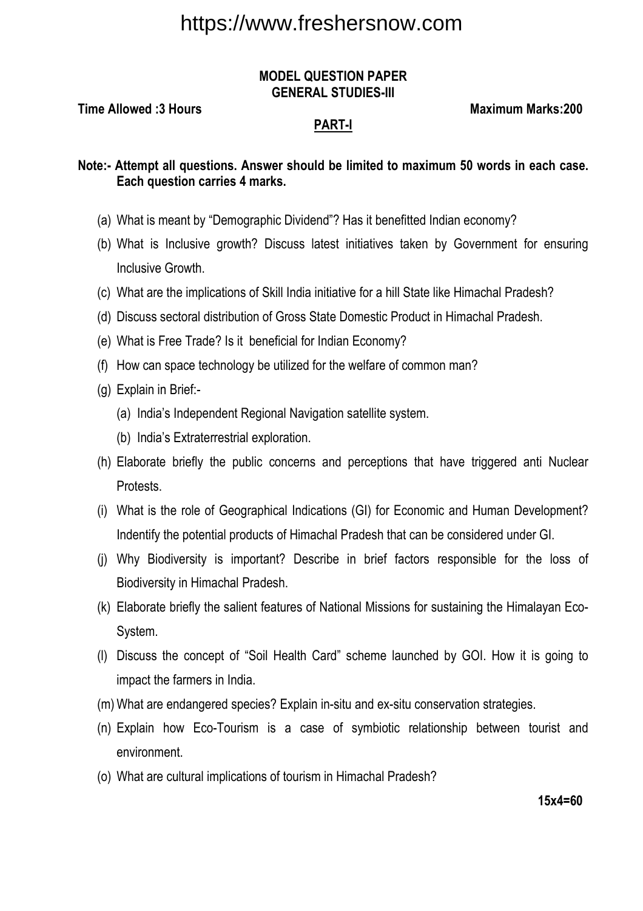#### **MODEL QUESTION PAPER GENERAL STUDIES-III**

**Time Allowed :3 Hours Maximum Marks:200** 

### **PART-I**

**Note:- Attempt all questions. Answer should be limited to maximum 50 words in each case. Each question carries 4 marks.** 

- (a) What is meant by "Demographic Dividend"? Has it benefitted Indian economy?
- (b) What is Inclusive growth? Discuss latest initiatives taken by Government for ensuring Inclusive Growth.
- (c) What are the implications of Skill India initiative for a hill State like Himachal Pradesh?
- (d) Discuss sectoral distribution of Gross State Domestic Product in Himachal Pradesh.
- (e) What is Free Trade? Is it beneficial for Indian Economy?
- (f) How can space technology be utilized for the welfare of common man?
- (g) Explain in Brief:-
	- (a) India's Independent Regional Navigation satellite system.
	- (b) India's Extraterrestrial exploration.
- (h) Elaborate briefly the public concerns and perceptions that have triggered anti Nuclear Protests.
- (i) What is the role of Geographical Indications (GI) for Economic and Human Development? Indentify the potential products of Himachal Pradesh that can be considered under GI.
- (j) Why Biodiversity is important? Describe in brief factors responsible for the loss of Biodiversity in Himachal Pradesh.
- (k) Elaborate briefly the salient features of National Missions for sustaining the Himalayan Eco-System.
- (l) Discuss the concept of "Soil Health Card" scheme launched by GOI. How it is going to impact the farmers in India.
- (m) What are endangered species? Explain in-situ and ex-situ conservation strategies.
- (n) Explain how Eco-Tourism is a case of symbiotic relationship between tourist and environment.
- (o) What are cultural implications of tourism in Himachal Pradesh?

**15x4=60**